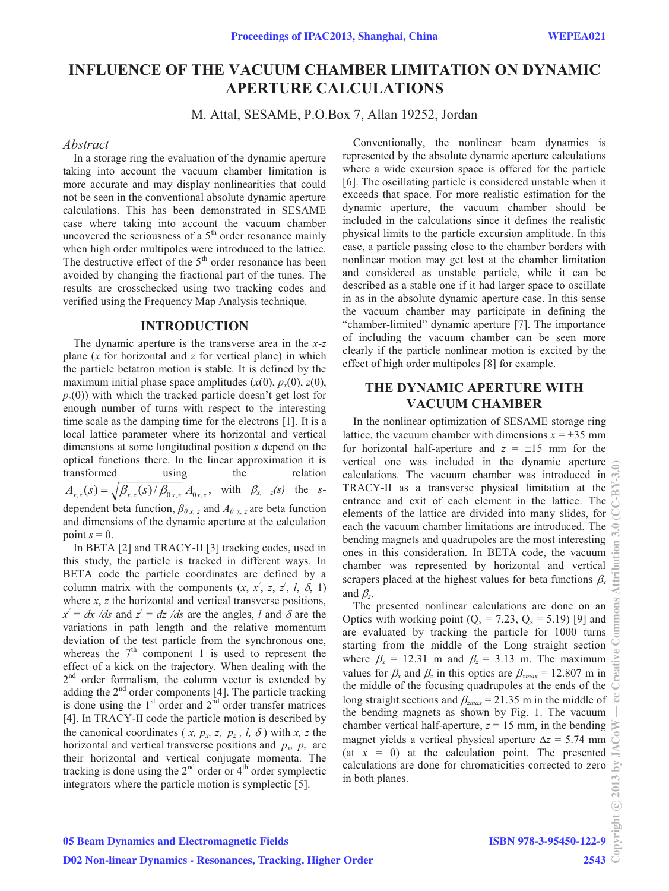# **INFLUENCE OF THE VACUUM CHAMBER LIMITATION ON DYNAMIC APERTURE CALCULATIONS**

M. Attal, SESAME, P.O.Box 7, Allan 19252, Jordan

#### *Abstract*

In a storage ring the evaluation of the dynamic aperture taking into account the vacuum chamber limitation is more accurate and may display nonlinearities that could not be seen in the conventional absolute dynamic aperture calculations. This has been demonstrated in SESAME case where taking into account the vacuum chamber uncovered the seriousness of a  $5<sup>th</sup>$  order resonance mainly when high order multipoles were introduced to the lattice. The destructive effect of the  $5<sup>th</sup>$  order resonance has been avoided by changing the fractional part of the tunes. The results are crosschecked using two tracking codes and verified using the Frequency Map Analysis technique.

### **INTRODUCTION**

The dynamic aperture is the transverse area in the *x*-*z* plane (*x* for horizontal and *z* for vertical plane) in which the particle betatron motion is stable. It is defined by the maximum initial phase space amplitudes  $(x(0), p_x(0), z(0))$ , *pz*(0)) with which the tracked particle doesn't get lost for enough number of turns with respect to the interesting time scale as the damping time for the electrons [1]. It is a local lattice parameter where its horizontal and vertical dimensions at some longitudinal position *s* depend on the optical functions there. In the linear approximation it is transformed using the relation  $A_{x,z}(s) = \sqrt{\beta_{x,z}(s)/\beta_{0x,z}} A_{0x,z}$ , with  $\beta_{x,-z}(s)$  the *s*dependent beta function,  $\beta_{0x,z}$  and  $A_{0x,z}$  are beta function and dimensions of the dynamic aperture at the calculation point  $s = 0$ .

In BETA [2] and TRACY-II [3] tracking codes, used in this study, the particle is tracked in different ways. In BETA code the particle coordinates are defined by a column matrix with the components  $(x, x', z, z', l, \delta, 1)$ where  $x$ ,  $z$  the horizontal and vertical transverse positions,  $x' = dx$  /*ds* and  $z' = dz$  /*ds* are the angles, *l* and  $\delta$  are the variations in path length and the relative momentum deviation of the test particle from the synchronous one, whereas the  $7<sup>th</sup>$  component 1 is used to represent the effect of a kick on the trajectory. When dealing with the 2<sup>nd</sup> order formalism, the column vector is extended by adding the  $2<sup>nd</sup>$  order components [4]. The particle tracking is done using the  $1<sup>st</sup>$  order and  $2<sup>nd</sup>$  order transfer matrices [4]. In TRACY-II code the particle motion is described by the canonical coordinates (*x, p<sub>x</sub>, z, p<sub>z</sub>, l,*  $\delta$ ) with *x, z* the horizontal and vertical transverse positions and  $p_x$ ,  $p_z$  are their horizontal and vertical conjugate momenta. The tracking is done using the  $2<sup>nd</sup>$  order or  $4<sup>th</sup>$  order symplectic integrators where the particle motion is symplectic [5].

Conventionally, the nonlinear beam dynamics is represented by the absolute dynamic aperture calculations where a wide excursion space is offered for the particle [6]. The oscillating particle is considered unstable when it exceeds that space. For more realistic estimation for the dynamic aperture, the vacuum chamber should be included in the calculations since it defines the realistic physical limits to the particle excursion amplitude. In this case, a particle passing close to the chamber borders with nonlinear motion may get lost at the chamber limitation and considered as unstable particle, while it can be described as a stable one if it had larger space to oscillate in as in the absolute dynamic aperture case. In this sense the vacuum chamber may participate in defining the "chamber-limited" dynamic aperture [7]. The importance of including the vacuum chamber can be seen more clearly if the particle nonlinear motion is excited by the effect of high order multipoles [8] for example.

# **THE DYNAMIC APERTURE WITH VACUUM CHAMBER**

In the nonlinear optimization of SESAME storage ring lattice, the vacuum chamber with dimensions  $x = \pm 35$  mm for horizontal half-aperture and  $z = \pm 15$  mm for the vertical one was included in the dynamic aperture calculations. The vacuum chamber was introduced in TRACY-II as a transverse physical limitation at the entrance and exit of each element in the lattice. The elements of the lattice are divided into many slides, for each the vacuum chamber limitations are introduced. The bending magnets and quadrupoles are the most interesting ones in this consideration. In BETA code, the vacuum chamber was represented by horizontal and vertical scrapers placed at the highest values for beta functions  $\beta_x$ and  $\beta_z$ .

The presented nonlinear calculations are done on an Optics with working point  $(Q_x = 7.23, Q_z = 5.19)$  [9] and are evaluated by tracking the particle for 1000 turns starting from the middle of the Long straight section where  $\beta_x = 12.31$  m and  $\beta_z = 3.13$  m. The maximum values for  $\beta_x$  and  $\beta_z$  in this optics are  $\beta_{xmax} = 12.807$  m in the middle of the focusing quadrupoles at the ends of the long straight sections and  $\beta_{zmax} = 21.35$  m in the middle of the bending magnets as shown by Fig. 1. The vacuum chamber vertical half-aperture,  $z = 15$  mm, in the bending magnet yields a vertical physical aperture  $\Delta z = 5.74$  mm (at  $x = 0$ ) at the calculation point. The presented calculations are done for chromaticities corrected to zero in both planes.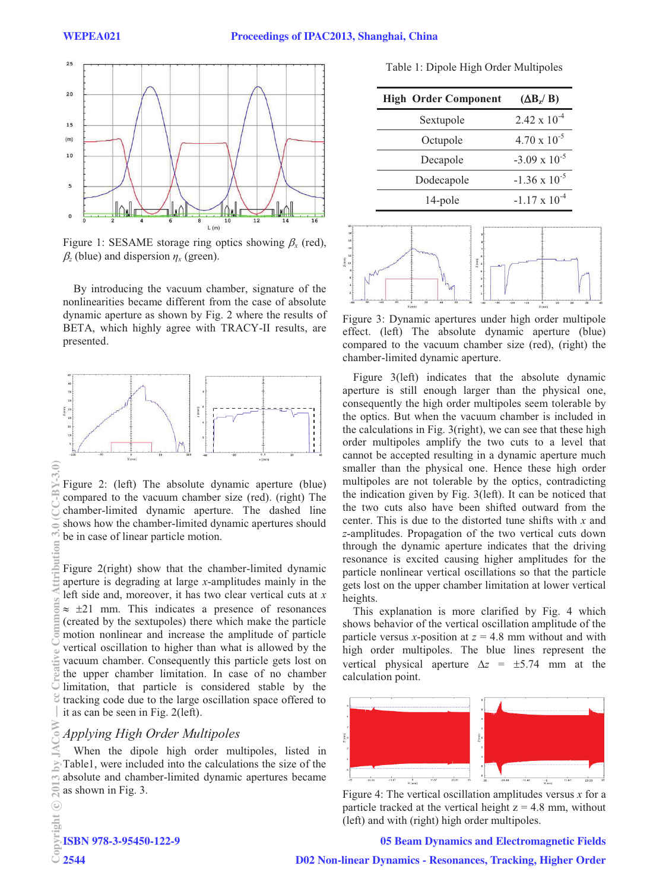

Figure 1: SESAME storage ring optics showing  $\beta_x$  (red),  $\beta_z$  (blue) and dispersion  $\eta_x$  (green).

By introducing the vacuum chamber, signature of the nonlinearities became different from the case of absolute dynamic aperture as shown by Fig. 2 where the results of BETA, which highly agree with TRACY-II results, are presented.



Figure 2: (left) The absolute dynamic aperture (blue) compared to the vacuum chamber size (red). (right) The chamber-limited dynamic aperture. The dashed line shows how the chamber-limited dynamic apertures should be in case of linear particle motion.

Figure 2(right) show that the chamber-limited dynamic aperture is degrading at large *x*-amplitudes mainly in the left side and, moreover, it has two clear vertical cuts at *x*  $\approx$   $\pm$ 21 mm. This indicates a presence of resonances (created by the sextupoles) there which make the particle motion nonlinear and increase the amplitude of particle vertical oscillation to higher than what is allowed by the vacuum chamber. Consequently this particle gets lost on the upper chamber limitation. In case of no chamber limitation, that particle is considered stable by the tracking code due to the large oscillation space offered to it as can be seen in Fig. 2(left).

## *Applying High Order Multipoles*

When the dipole high order multipoles, listed in Table1, were included into the calculations the size of the absolute and chamber-limited dynamic apertures became as shown in Fig. 3.

Table 1: Dipole High Order Multipoles

| <b>High Order Component</b> | $(\Delta B_z / B)$     |
|-----------------------------|------------------------|
| Sextupole                   | $2.42 \times 10^{-4}$  |
| Octupole                    | $4.70 \times 10^{-5}$  |
| Decapole                    | $-3.09 \times 10^{-5}$ |
| Dodecapole                  | $-1.36 \times 10^{-5}$ |
| 14-pole                     | $-1.17 \times 10^{-4}$ |



Figure 3: Dynamic apertures under high order multipole effect. (left) The absolute dynamic aperture (blue) compared to the vacuum chamber size (red), (right) the chamber-limited dynamic aperture.

Figure 3(left) indicates that the absolute dynamic aperture is still enough larger than the physical one, consequently the high order multipoles seem tolerable by the optics. But when the vacuum chamber is included in the calculations in Fig. 3(right), we can see that these high order multipoles amplify the two cuts to a level that cannot be accepted resulting in a dynamic aperture much smaller than the physical one. Hence these high order multipoles are not tolerable by the optics, contradicting the indication given by Fig. 3(left). It can be noticed that the two cuts also have been shifted outward from the center. This is due to the distorted tune shifts with *x* and *z*-amplitudes. Propagation of the two vertical cuts down through the dynamic aperture indicates that the driving resonance is excited causing higher amplitudes for the particle nonlinear vertical oscillations so that the particle gets lost on the upper chamber limitation at lower vertical heights.

This explanation is more clarified by Fig. 4 which shows behavior of the vertical oscillation amplitude of the particle versus *x*-position at  $z = 4.8$  mm without and with high order multipoles. The blue lines represent the vertical physical aperture  $\Delta z = \pm 5.74$  mm at the calculation point.



 Figure 4: The vertical oscillation amplitudes versus *<sup>x</sup>* for a particle tracked at the vertical height  $z = 4.8$  mm, without (left) and with (right) high order multipoles.

05 Beam Dynamics and Electromagnetic Fields